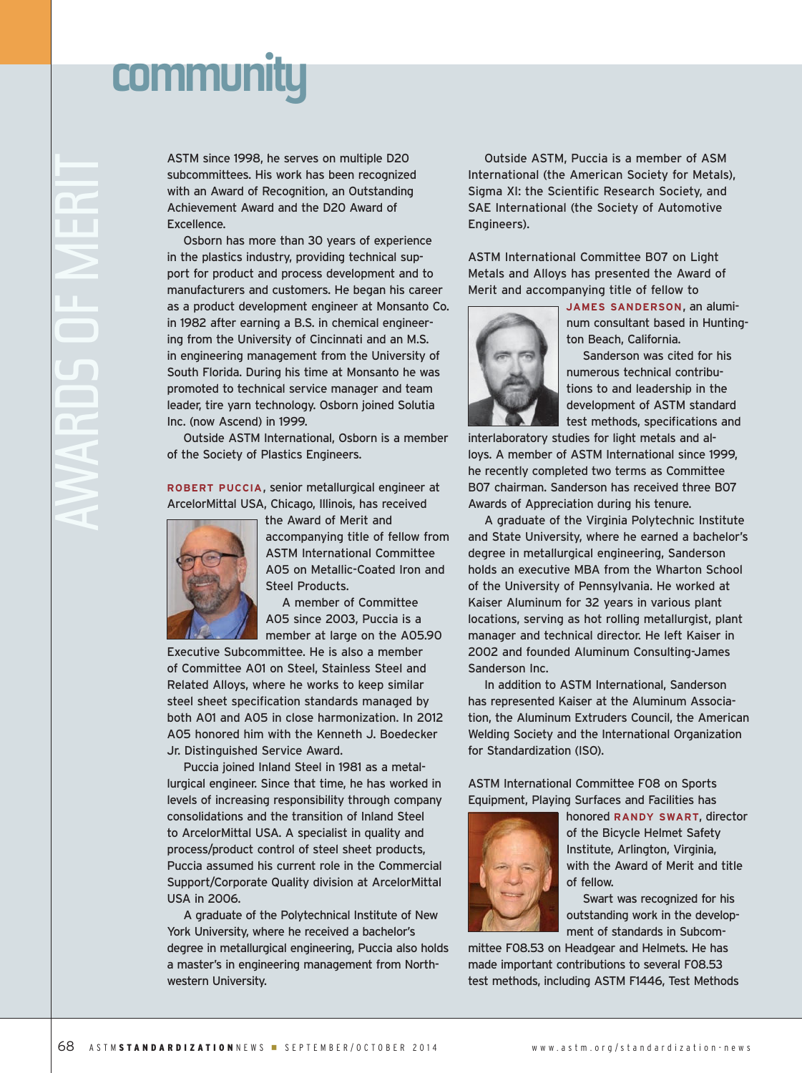## commun

ASTM since 1998, he serves on multiple D20 subcommittees. His work has been recognized with an Award of Recognition, an Outstanding Achievement Award and the D20 Award of Excellence.

STANDARD ISOS, the set we can consider the consider a set of MERIT MIGUEST CONSIDERATION ISOS (NEWS OF A CONSIDER A CONSIDER CONSIDER CONSIDER THE CONSIDER CONSIDER THE CONSIDER CONSIDER THE CONSIDER CONSIDER THE CONSIDER Osborn has more than 30 years of experience in the plastics industry, providing technical support for product and process development and to manufacturers and customers. He began his career as a product development engineer at Monsanto Co. in 1982 after earning a B.S. in chemical engineering from the University of Cincinnati and an M.S. in engineering management from the University of South Florida. During his time at Monsanto he was promoted to technical service manager and team leader, tire yarn technology. Osborn joined Solutia Inc. (now Ascend) in 1999.

Outside ASTM International, Osborn is a member of the Society of Plastics Engineers.

**ROBERT PUCCIA**, senior metallurgical engineer at ArcelorMittal USA, Chicago, Illinois, has received



the Award of Merit and accompanying title of fellow from ASTM International Committee A05 on Metallic-Coated Iron and Steel Products.

A member of Committee A05 since 2003, Puccia is a member at large on the A05.90

Executive Subcommittee. He is also a member of Committee A01 on Steel, Stainless Steel and Related Alloys, where he works to keep similar steel sheet specification standards managed by both A01 and A05 in close harmonization. In 2012 A05 honored him with the Kenneth J. Boedecker Jr. Distinguished Service Award.

Puccia joined Inland Steel in 1981 as a metallurgical engineer. Since that time, he has worked in levels of increasing responsibility through company consolidations and the transition of Inland Steel to ArcelorMittal USA. A specialist in quality and process/product control of steel sheet products, Puccia assumed his current role in the Commercial Support/Corporate Quality division at ArcelorMittal USA in 2006.

A graduate of the Polytechnical Institute of New York University, where he received a bachelor's degree in metallurgical engineering, Puccia also holds a master's in engineering management from Northwestern University.

Outside ASTM, Puccia is a member of ASM International (the American Society for Metals), Sigma XI: the Scientific Research Society, and SAE International (the Society of Automotive Engineers).

ASTM International Committee B07 on Light Metals and Alloys has presented the Award of Merit and accompanying title of fellow to



**JAMES SANDERSON**, an aluminum consultant based in Huntington Beach, California.

Sanderson was cited for his numerous technical contributions to and leadership in the development of ASTM standard test methods, specifications and

interlaboratory studies for light metals and alloys. A member of ASTM International since 1999, he recently completed two terms as Committee B07 chairman. Sanderson has received three B07 Awards of Appreciation during his tenure.

A graduate of the Virginia Polytechnic Institute and State University, where he earned a bachelor's degree in metallurgical engineering, Sanderson holds an executive MBA from the Wharton School of the University of Pennsylvania. He worked at Kaiser Aluminum for 32 years in various plant locations, serving as hot rolling metallurgist, plant manager and technical director. He left Kaiser in 2002 and founded Aluminum Consulting-James Sanderson Inc.

In addition to ASTM International, Sanderson has represented Kaiser at the Aluminum Association, the Aluminum Extruders Council, the American Welding Society and the International Organization for Standardization (ISO).

ASTM International Committee F08 on Sports Equipment, Playing Surfaces and Facilities has



honored **RANDY SWART**, director of the Bicycle Helmet Safety Institute, Arlington, Virginia, with the Award of Merit and title of fellow.

Swart was recognized for his outstanding work in the development of standards in Subcom-

mittee F08.53 on Headgear and Helmets. He has made important contributions to several F08.53 test methods, including ASTM F1446, Test Methods